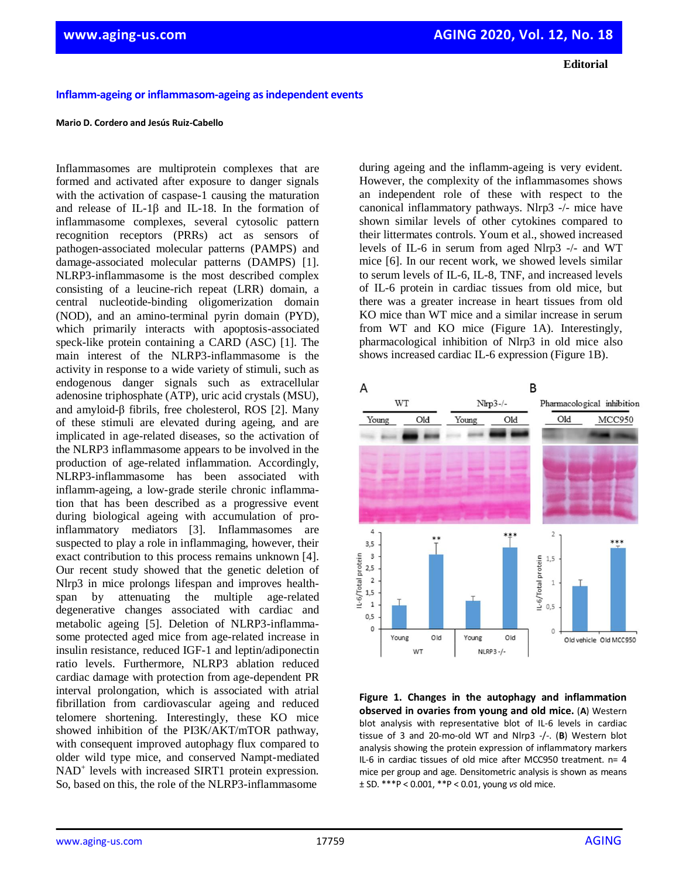**Editorial**

## **Inflamm-ageing or inflammasom-ageing as independent events**

## **Mario D. Cordero and Jesús Ruiz-Cabello**

Inflammasomes are multiprotein complexes that are formed and activated after exposure to danger signals with the activation of caspase-1 causing the maturation and release of IL-1β and IL-18. In the formation of inflammasome complexes, several cytosolic pattern recognition receptors (PRRs) act as sensors of pathogen-associated molecular patterns (PAMPS) and damage-associated molecular patterns (DAMPS) [1]. NLRP3-inflammasome is the most described complex consisting of a leucine-rich repeat (LRR) domain, a central nucleotide-binding oligomerization domain (NOD), and an amino-terminal pyrin domain (PYD), which primarily interacts with apoptosis-associated speck-like protein containing a CARD (ASC) [1]. The main interest of the NLRP3-inflammasome is the activity in response to a wide variety of stimuli, such as endogenous danger signals such as extracellular adenosine triphosphate (ATP), uric acid crystals (MSU), and amyloid-β fibrils, free cholesterol, ROS [2]. Many of these stimuli are elevated during ageing, and are implicated in age-related diseases, so the activation of the NLRP3 inflammasome appears to be involved in the production of age-related inflammation. Accordingly, NLRP3-inflammasome has been associated with inflamm-ageing, a low-grade sterile chronic inflammation that has been described as a progressive event during biological ageing with accumulation of proinflammatory mediators [3]. Inflammasomes are suspected to play a role in inflammaging, however, their exact contribution to this process remains unknown [4]. Our recent study showed that the genetic deletion of Nlrp3 in mice prolongs lifespan and improves healthspan by attenuating the multiple age-related degenerative changes associated with cardiac and metabolic ageing [5]. Deletion of NLRP3-inflammasome protected aged mice from age-related increase in insulin resistance, reduced IGF-1 and leptin/adiponectin ratio levels. Furthermore, NLRP3 ablation reduced cardiac damage with protection from age-dependent PR interval prolongation, which is associated with atrial fibrillation from cardiovascular ageing and reduced telomere shortening. Interestingly, these KO mice showed inhibition of the PI3K/AKT/mTOR pathway, with consequent improved autophagy flux compared to older wild type mice, and conserved Nampt-mediated NAD<sup>+</sup> levels with increased SIRT1 protein expression. So, based on this, the role of the NLRP3-inflammasome

during ageing and the inflamm-ageing is very evident. However, the complexity of the inflammasomes shows an independent role of these with respect to the canonical inflammatory pathways. Nlrp3 -/- mice have shown similar levels of other cytokines compared to their littermates controls. Youm et al., showed increased levels of IL-6 in serum from aged Nlrp3 -/- and WT mice [6]. In our recent work, we showed levels similar to serum levels of IL-6, IL-8, TNF, and increased levels of IL-6 protein in cardiac tissues from old mice, but there was a greater increase in heart tissues from old KO mice than WT mice and a similar increase in serum from WT and KO mice (Figure 1A). Interestingly, pharmacological inhibition of Nlrp3 in old mice also shows increased cardiac IL-6 expression (Figure 1B).



**Figure 1. Changes in the autophagy and inflammation observed in ovaries from young and old mice.** (**A**) Western blot analysis with representative blot of IL-6 levels in cardiac tissue of 3 and 20-mo-old WT and Nlrp3 -/-. (**B**) Western blot analysis showing the protein expression of inflammatory markers IL-6 in cardiac tissues of old mice after MCC950 treatment. n= 4 mice per group and age. Densitometric analysis is shown as means ± SD. \*\*\*P < 0.001, \*\*P < 0.01, young *vs* old mice.